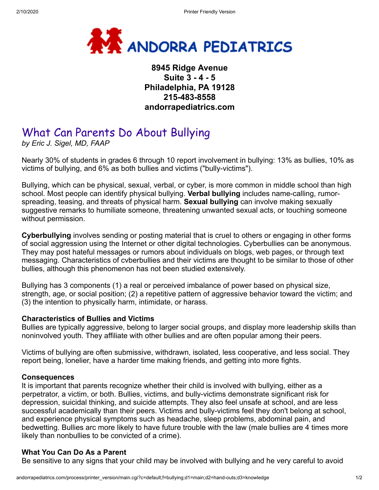

# **8945 Ridge Avenue Suite 3 - 4 - 5 Philadelphia, PA 19128 215-483-8558 andorrapediatrics.com**

# What Can Parents Do About Bullying

*by Eric J. Sigel, MD, FAAP*

Nearly 30% of students in grades 6 through 10 report involvement in bullying: 13% as bullies, 10% as victims of bullying, and 6% as both bullies and victims ("bully-victims").

Bullying, which can be physical, sexual, verbal, or cyber, is more common in middle school than high school. Most people can identify physical bullying. **Verbal bullying** includes name-calling, rumorspreading, teasing, and threats of physical harm. **Sexual bullying** can involve making sexually suggestive remarks to humiliate someone, threatening unwanted sexual acts, or touching someone without permission.

**Cyberbullying** involves sending or posting material that is cruel to others or engaging in other forms of social aggression using the Internet or other digital technologies. Cyberbullies can be anonymous. They may post hateful messages or rumors about individuals on blogs, web pages, or through text messaging. Characteristics of cvberbullies and their victims are thought to be similar to those of other bullies, although this phenomenon has not been studied extensively.

Bullying has 3 components (1) a real or perceived imbalance of power based on physical size, strength, age, or social position; (2) a repetitive pattern of aggressive behavior toward the victim; and (3) the intention to physically harm, intimidate, or harass.

#### **Characteristics of Bullies and Victims**

Bullies are typically aggressive, belong to larger social groups, and display more leadership skills than noninvolved youth. They affiliate with other bullies and are often popular among their peers.

Victims of bullying are often submissive, withdrawn, isolated, less cooperative, and less social. They report being, lonelier, have a harder time making friends, and getting into more fights.

#### **Consequences**

It is important that parents recognize whether their child is involved with bullying, either as a perpetrator, a victim, or both. Bullies, victims, and bully-victims demonstrate significant risk for depression, suicidal thinking, and suicide attempts. They also feel unsafe at school, and are less successful academically than their peers. Victims and bully-victims feel they don't belong at school, and experience physical symptoms such as headache, sleep problems, abdominal pain, and bedwetting. Bullies arc more likely to have future trouble with the law (male bullies are 4 times more likely than nonbullies to be convicted of a crime).

# **What You Can Do As a Parent**

Be sensitive to any signs that your child may be involved with bullying and he very careful to avoid